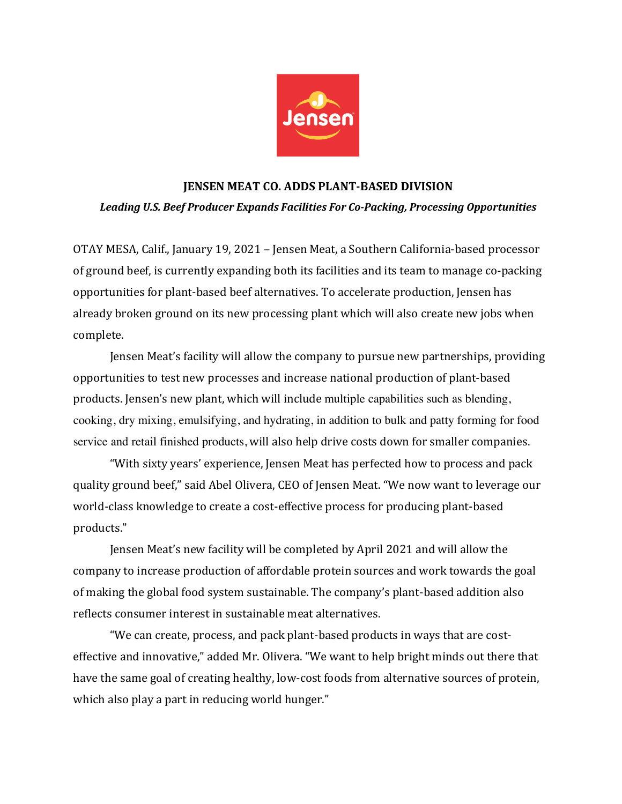

## **JENSEN MEAT CO. ADDS PLANT-BASED DIVISION** Leading U.S. Beef Producer Expands Facilities For Co-Packing, Processing Opportunities

OTAY MESA, Calif., January 19, 2021 - Jensen Meat, a Southern California-based processor of ground beef, is currently expanding both its facilities and its team to manage co-packing opportunities for plant-based beef alternatives. To accelerate production, Jensen has already broken ground on its new processing plant which will also create new jobs when complete.

**Jensen Meat's facility will allow the company to pursue new partnerships, providing** opportunities to test new processes and increase national production of plant-based products. Jensen's new plant, which will include multiple capabilities such as blending, cooking, dry mixing, emulsifying, and hydrating, in addition to bulk and patty forming for food service and retail finished products, will also help drive costs down for smaller companies.

"With sixty years' experience, Jensen Meat has perfected how to process and pack quality ground beef," said Abel Olivera, CEO of Jensen Meat. "We now want to leverage our world-class knowledge to create a cost-effective process for producing plant-based products."

Jensen Meat's new facility will be completed by April 2021 and will allow the company to increase production of affordable protein sources and work towards the goal of making the global food system sustainable. The company's plant-based addition also reflects consumer interest in sustainable meat alternatives.

"We can create, process, and pack plant-based products in ways that are costeffective and innovative," added Mr. Olivera. "We want to help bright minds out there that have the same goal of creating healthy, low-cost foods from alternative sources of protein, which also play a part in reducing world hunger."